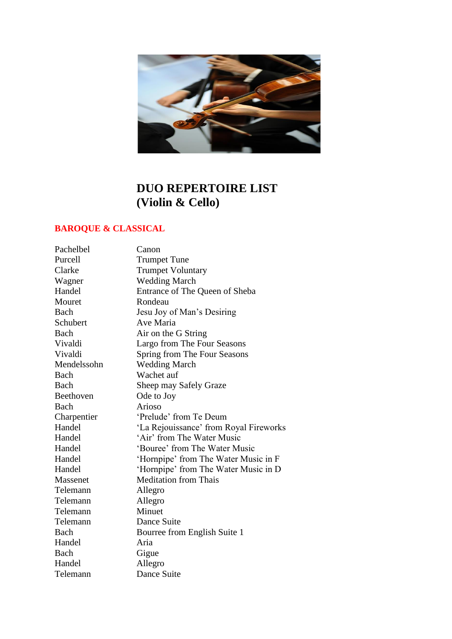

# **DUO REPERTOIRE LIST (Violin & Cello)**

## **BAROQUE & CLASSICAL**

| Pachelbel   | Canon                                  |
|-------------|----------------------------------------|
| Purcell     | <b>Trumpet Tune</b>                    |
| Clarke      | <b>Trumpet Voluntary</b>               |
| Wagner      | <b>Wedding March</b>                   |
| Handel      | Entrance of The Queen of Sheba         |
| Mouret      | Rondeau                                |
| Bach        | Jesu Joy of Man's Desiring             |
| Schubert    | Ave Maria                              |
| Bach        | Air on the G String                    |
| Vivaldi     | Largo from The Four Seasons            |
| Vivaldi     | Spring from The Four Seasons           |
| Mendelssohn | <b>Wedding March</b>                   |
| Bach        | Wachet auf                             |
| <b>Bach</b> | Sheep may Safely Graze                 |
| Beethoven   | Ode to Joy                             |
| Bach        | Arioso                                 |
| Charpentier | 'Prelude' from Te Deum                 |
| Handel      | 'La Rejouissance' from Royal Fireworks |
| Handel      | 'Air' from The Water Music             |
| Handel      | 'Bouree' from The Water Music          |
| Handel      | 'Hornpipe' from The Water Music in F   |
| Handel      | 'Hornpipe' from The Water Music in D   |
| Massenet    | <b>Meditation from Thais</b>           |
| Telemann    | Allegro                                |
| Telemann    | Allegro                                |
| Telemann    | Minuet                                 |
| Telemann    | Dance Suite                            |
| Bach        | Bourree from English Suite 1           |
| Handel      | Aria                                   |
| Bach        | Gigue                                  |
| Handel      | Allegro                                |
| Telemann    | Dance Suite                            |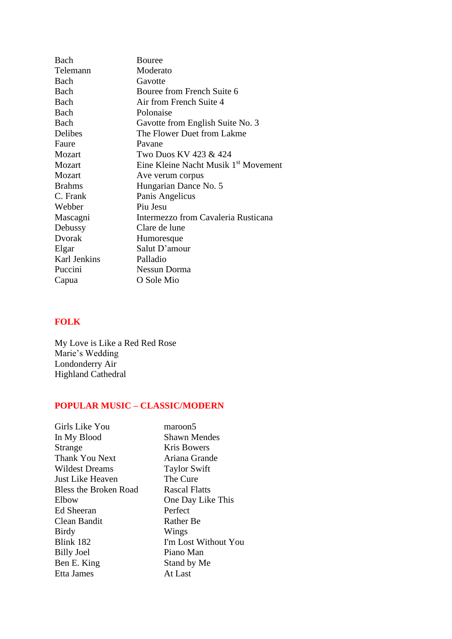| Bach          | Bouree                                           |
|---------------|--------------------------------------------------|
| Telemann      | Moderato                                         |
| Bach          | Gavotte                                          |
| Bach          | Bouree from French Suite 6                       |
| Bach          | Air from French Suite 4                          |
| Bach          | Polonaise                                        |
| Bach          | Gavotte from English Suite No. 3                 |
| Delibes       | The Flower Duet from Lakme                       |
| Faure         | Pavane                                           |
| Mozart        | Two Duos KV 423 & 424                            |
| Mozart        | Eine Kleine Nacht Musik 1 <sup>st</sup> Movement |
| Mozart        | Ave verum corpus                                 |
| <b>Brahms</b> | Hungarian Dance No. 5                            |
| C. Frank      | Panis Angelicus                                  |
| Webber        | Piu Jesu                                         |
| Mascagni      | Intermezzo from Cavaleria Rusticana              |
| Debussy       | Clare de lune                                    |
| Dvorak        | Humoresque                                       |
| Elgar         | Salut D'amour                                    |
| Karl Jenkins  | Palladio                                         |
| Puccini       | Nessun Dorma                                     |
| Capua         | O Sole Mio                                       |

## **FOLK**

My Love is Like a Red Red Rose Marie's Wedding Londonderry Air Highland Cathedral

### **POPULAR MUSIC – CLASSIC/MODERN**

| Girls Like You        | maroon5              |
|-----------------------|----------------------|
| In My Blood           | <b>Shawn Mendes</b>  |
| Strange               | Kris Bowers          |
| Thank You Next        | Ariana Grande        |
| <b>Wildest Dreams</b> | <b>Taylor Swift</b>  |
| Just Like Heaven      | The Cure             |
| Bless the Broken Road | <b>Rascal Flatts</b> |
| Elbow                 | One Day Like This    |
| <b>Ed Sheeran</b>     | Perfect              |
| Clean Bandit          | <b>Rather Be</b>     |
| Birdy                 | Wings                |
| Blink 182             | I'm Lost Without You |
| <b>Billy Joel</b>     | Piano Man            |
| Ben E. King           | Stand by Me          |
| Etta James            | At Last              |
|                       |                      |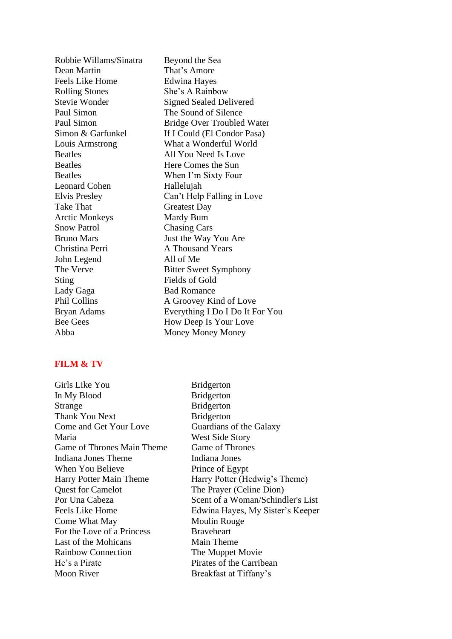Dean Martin That's Amore Feels Like Home Edwina Hayes Rolling Stones She's A Rainbow Leonard Cohen Hallelujah Take That Greatest Day Arctic Monkeys Mardy Bum Snow Patrol Chasing Cars Christina Perri A Thousand Years John Legend All of Me Sting Fields of Gold Lady Gaga Bad Romance

Robbie Willams/Sinatra Beyond the Sea Stevie Wonder Signed Sealed Delivered Paul Simon The Sound of Silence Paul Simon<br>Bridge Over Troubled Water Simon & Garfunkel If I Could (El Condor Pasa) Louis Armstrong What a Wonderful World Beatles All You Need Is Love Beatles Here Comes the Sun Beatles When I'm Sixty Four Elvis Presley Can't Help Falling in Love Bruno Mars Just the Way You Are The Verve Bitter Sweet Symphony Phil Collins A Groovey Kind of Love Bryan Adams Everything I Do I Do It For You Bee Gees How Deep Is Your Love Abba Money Money Money

#### **FILM & TV**

Girls Like You Bridgerton In My Blood Bridgerton Strange Bridgerton Thank You Next Bridgerton Come and Get Your Love Guardians of the Galaxy Maria West Side Story Game of Thrones Main Theme Game of Thrones Indiana Jones Theme Indiana Jones When You Believe Prince of Egypt Quest for Camelot The Prayer (Celine Dion) Come What May Moulin Rouge For the Love of a Princess Braveheart Last of the Mohicans Main Theme Rainbow Connection The Muppet Movie He's a Pirate Pirates of the Carribean Moon River Breakfast at Tiffany's

Harry Potter Main Theme Harry Potter (Hedwig's Theme) Por Una Cabeza Scent of a Woman/Schindler's List Feels Like Home Edwina Hayes, My Sister's Keeper